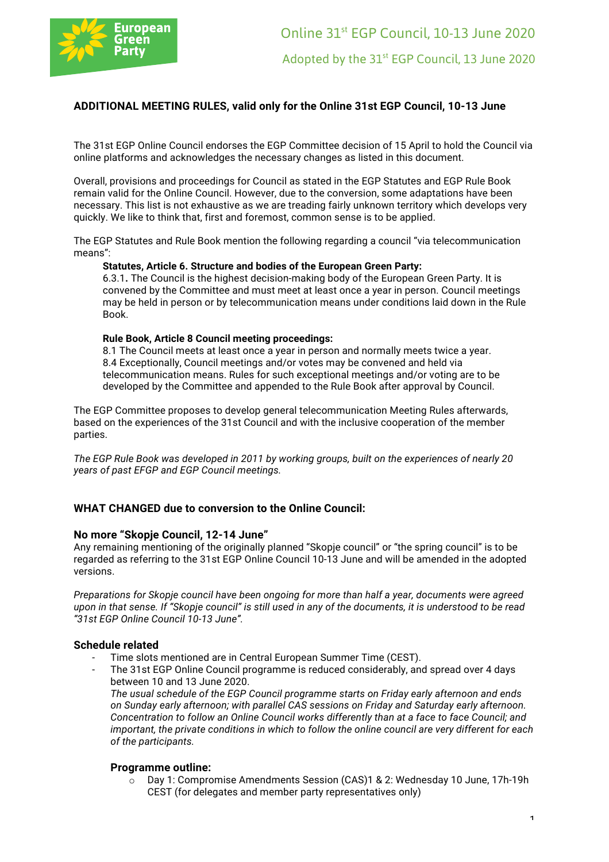

# **ADDITIONAL MEETING RULES, valid only for the Online 31st EGP Council, 10-13 June**

The 31st EGP Online Council endorses the EGP Committee decision of 15 April to hold the Council via online platforms and acknowledges the necessary changes as listed in this document.

Overall, provisions and proceedings for Council as stated in the EGP Statutes and EGP Rule Book remain valid for the Online Council. However, due to the conversion, some adaptations have been necessary. This list is not exhaustive as we are treading fairly unknown territory which develops very quickly. We like to think that, first and foremost, common sense is to be applied.

The EGP Statutes and Rule Book mention the following regarding a council "via telecommunication means":

#### **Statutes, Article 6. Structure and bodies of the European Green Party:**

6.3.1**.** The Council is the highest decision-making body of the European Green Party. It is convened by the Committee and must meet at least once a year in person. Council meetings may be held in person or by telecommunication means under conditions laid down in the Rule Book.

#### **Rule Book, Article 8 Council meeting proceedings:**

8.1 The Council meets at least once a year in person and normally meets twice a year. 8.4 Exceptionally, Council meetings and/or votes may be convened and held via telecommunication means. Rules for such exceptional meetings and/or voting are to be developed by the Committee and appended to the Rule Book after approval by Council.

The EGP Committee proposes to develop general telecommunication Meeting Rules afterwards, based on the experiences of the 31st Council and with the inclusive cooperation of the member parties.

*The EGP Rule Book was developed in 2011 by working groups, built on the experiences of nearly 20 years of past EFGP and EGP Council meetings.* 

### **WHAT CHANGED due to conversion to the Online Council:**

#### **No more "Skopje Council, 12-14 June"**

Any remaining mentioning of the originally planned "Skopje council" or "the spring council" is to be regarded as referring to the 31st EGP Online Council 10-13 June and will be amended in the adopted versions.

*Preparations for Skopje council have been ongoing for more than half a year, documents were agreed upon in that sense. If "Skopje council" is still used in any of the documents, it is understood to be read "31st EGP Online Council 10-13 June".*

#### **Schedule related**

- Time slots mentioned are in Central European Summer Time (CEST).
	- The 31st EGP Online Council programme is reduced considerably, and spread over 4 days between 10 and 13 June 2020. *The usual schedule of the EGP Council programme starts on Friday early afternoon and ends on Sunday early afternoon; with parallel CAS sessions on Friday and Saturday early afternoon. Concentration to follow an Online Council works differently than at a face to face Council; and important, the private conditions in which to follow the online council are very different for each of the participants.*

### **Programme outline:**

o Day 1: Compromise Amendments Session (CAS)1 & 2: Wednesday 10 June, 17h-19h CEST (for delegates and member party representatives only)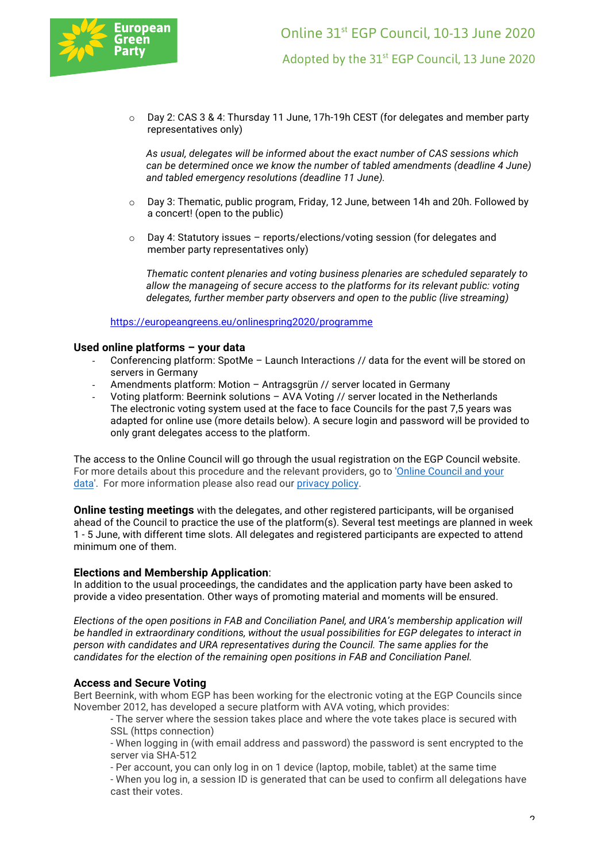

o Day 2: CAS 3 & 4: Thursday 11 June, 17h-19h CEST (for delegates and member party representatives only)

*As usual, delegates will be informed about the exact number of CAS sessions which can be determined once we know the number of tabled amendments (deadline 4 June) and tabled emergency resolutions (deadline 11 June).*

- $\circ$  Day 3: Thematic, public program, Friday, 12 June, between 14h and 20h, Followed by a concert! (open to the public)
- o Day 4: Statutory issues reports/elections/voting session (for delegates and member party representatives only)

*Thematic content plenaries and voting business plenaries are scheduled separately to allow the manageing of secure access to the platforms for its relevant public: voting delegates, further member party observers and open to the public (live streaming)* 

https://europeangreens.eu/onlinespring2020/programme

### **Used online platforms – your data**

- Conferencing platform: SpotMe Launch Interactions // data for the event will be stored on servers in Germany
- Amendments platform: Motion Antragsgrün // server located in Germany
- Voting platform: Beernink solutions AVA Voting // server located in the Netherlands The electronic voting system used at the face to face Councils for the past 7,5 years was adapted for online use (more details below). A secure login and password will be provided to only grant delegates access to the platform.

The access to the Online Council will go through the usual registration on the EGP Council website. For more details about this procedure and the relevant providers, go to 'Online Council and your data'. For more information please also read our privacy policy.

**Online testing meetings** with the delegates, and other registered participants, will be organised ahead of the Council to practice the use of the platform(s). Several test meetings are planned in week 1 - 5 June, with different time slots. All delegates and registered participants are expected to attend minimum one of them.

### **Elections and Membership Application**:

In addition to the usual proceedings, the candidates and the application party have been asked to provide a video presentation. Other ways of promoting material and moments will be ensured.

*Elections of the open positions in FAB and Conciliation Panel, and URA's membership application will be handled in extraordinary conditions, without the usual possibilities for EGP delegates to interact in person with candidates and URA representatives during the Council. The same applies for the candidates for the election of the remaining open positions in FAB and Conciliation Panel.*

### **Access and Secure Voting**

Bert Beernink, with whom EGP has been working for the electronic voting at the EGP Councils since November 2012, has developed a secure platform with AVA voting, which provides:

- The server where the session takes place and where the vote takes place is secured with SSL (https connection)

- When logging in (with email address and password) the password is sent encrypted to the server via SHA-512

- Per account, you can only log in on 1 device (laptop, mobile, tablet) at the same time

- When you log in, a session ID is generated that can be used to confirm all delegations have cast their votes.